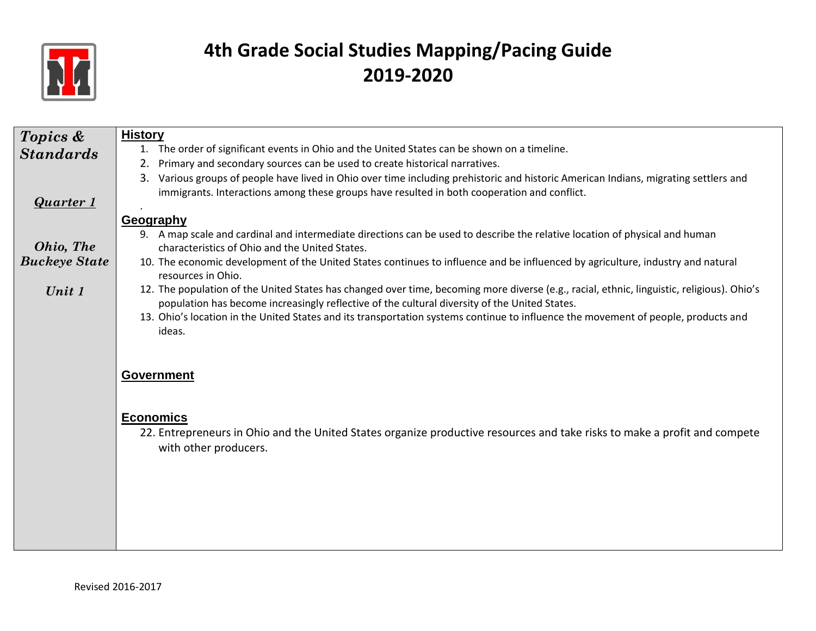

| Topics &             | <b>History</b>                                                                                                                                                                                                                              |
|----------------------|---------------------------------------------------------------------------------------------------------------------------------------------------------------------------------------------------------------------------------------------|
| <b>Standards</b>     | 1. The order of significant events in Ohio and the United States can be shown on a timeline.                                                                                                                                                |
|                      | Primary and secondary sources can be used to create historical narratives.<br>2.                                                                                                                                                            |
|                      | Various groups of people have lived in Ohio over time including prehistoric and historic American Indians, migrating settlers and<br>3.                                                                                                     |
| <b>Quarter 1</b>     | immigrants. Interactions among these groups have resulted in both cooperation and conflict.                                                                                                                                                 |
|                      | Geography                                                                                                                                                                                                                                   |
|                      | 9. A map scale and cardinal and intermediate directions can be used to describe the relative location of physical and human                                                                                                                 |
| Ohio, The            | characteristics of Ohio and the United States.                                                                                                                                                                                              |
| <b>Buckeye State</b> | 10. The economic development of the United States continues to influence and be influenced by agriculture, industry and natural<br>resources in Ohio.                                                                                       |
| Unit 1               | 12. The population of the United States has changed over time, becoming more diverse (e.g., racial, ethnic, linguistic, religious). Ohio's<br>population has become increasingly reflective of the cultural diversity of the United States. |
|                      | 13. Ohio's location in the United States and its transportation systems continue to influence the movement of people, products and                                                                                                          |
|                      | ideas.                                                                                                                                                                                                                                      |
|                      |                                                                                                                                                                                                                                             |
|                      |                                                                                                                                                                                                                                             |
|                      | <b>Government</b>                                                                                                                                                                                                                           |
|                      |                                                                                                                                                                                                                                             |
|                      |                                                                                                                                                                                                                                             |
|                      | <b>Economics</b><br>22. Entrepreneurs in Ohio and the United States organize productive resources and take risks to make a profit and compete                                                                                               |
|                      | with other producers.                                                                                                                                                                                                                       |
|                      |                                                                                                                                                                                                                                             |
|                      |                                                                                                                                                                                                                                             |
|                      |                                                                                                                                                                                                                                             |
|                      |                                                                                                                                                                                                                                             |
|                      |                                                                                                                                                                                                                                             |
|                      |                                                                                                                                                                                                                                             |
|                      |                                                                                                                                                                                                                                             |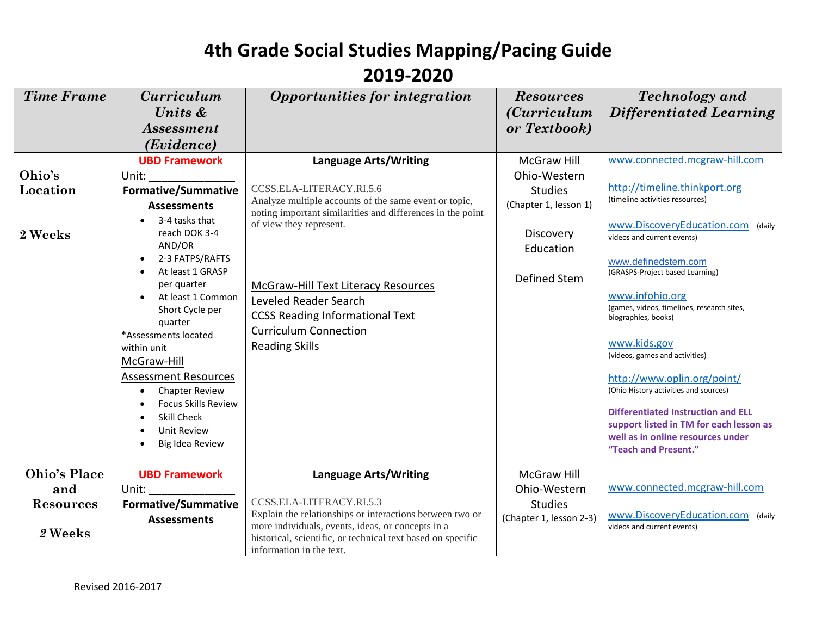#### **2019-2020**

| <b>Time Frame</b>   | <i><b>Curriculum</b></i>            | Opportunities for integration                                                                                       | <b>Resources</b>        | <b>Technology</b> and                                                        |
|---------------------|-------------------------------------|---------------------------------------------------------------------------------------------------------------------|-------------------------|------------------------------------------------------------------------------|
|                     | Units &                             |                                                                                                                     | <i>(Curriculum</i> )    | Differentiated Learning                                                      |
|                     | <b>Assessment</b>                   |                                                                                                                     | or Textbook)            |                                                                              |
|                     | ( <i>Evidence</i> )                 |                                                                                                                     |                         |                                                                              |
|                     | <b>UBD Framework</b>                | <b>Language Arts/Writing</b>                                                                                        | McGraw Hill             | www.connected.mcgraw-hill.com                                                |
| Ohio's              | Unit:                               |                                                                                                                     | Ohio-Western            |                                                                              |
| Location            | <b>Formative/Summative</b>          | CCSS.ELA-LITERACY.RI.5.6                                                                                            | <b>Studies</b>          | http://timeline.thinkport.org                                                |
|                     | <b>Assessments</b>                  | Analyze multiple accounts of the same event or topic,<br>noting important similarities and differences in the point | (Chapter 1, lesson 1)   | (timeline activities resources)                                              |
|                     | 3-4 tasks that                      | of view they represent.                                                                                             |                         | www.DiscoveryEducation.com (daily                                            |
| 2 Weeks             | reach DOK 3-4                       |                                                                                                                     | Discovery               | videos and current events)                                                   |
|                     | AND/OR<br>2-3 FATPS/RAFTS           |                                                                                                                     | Education               |                                                                              |
|                     | At least 1 GRASP                    |                                                                                                                     |                         | www.definedstem.com<br>(GRASPS-Project based Learning)                       |
|                     | per quarter                         | <b>McGraw-Hill Text Literacy Resources</b>                                                                          | Defined Stem            |                                                                              |
|                     | At least 1 Common                   | Leveled Reader Search                                                                                               |                         | www.infohio.org                                                              |
|                     | Short Cycle per                     | <b>CCSS Reading Informational Text</b>                                                                              |                         | (games, videos, timelines, research sites,<br>biographies, books)            |
|                     | quarter                             | <b>Curriculum Connection</b>                                                                                        |                         |                                                                              |
|                     | *Assessments located<br>within unit | <b>Reading Skills</b>                                                                                               |                         | www.kids.gov                                                                 |
|                     | McGraw-Hill                         |                                                                                                                     |                         | (videos, games and activities)                                               |
|                     | <b>Assessment Resources</b>         |                                                                                                                     |                         |                                                                              |
|                     | <b>Chapter Review</b><br>$\bullet$  |                                                                                                                     |                         | http://www.oplin.org/point/<br>(Ohio History activities and sources)         |
|                     | <b>Focus Skills Review</b>          |                                                                                                                     |                         |                                                                              |
|                     | <b>Skill Check</b>                  |                                                                                                                     |                         | <b>Differentiated Instruction and ELL</b>                                    |
|                     | <b>Unit Review</b>                  |                                                                                                                     |                         | support listed in TM for each lesson as<br>well as in online resources under |
|                     | Big Idea Review                     |                                                                                                                     |                         | "Teach and Present."                                                         |
|                     |                                     |                                                                                                                     |                         |                                                                              |
| <b>Ohio's Place</b> | <b>UBD Framework</b>                | <b>Language Arts/Writing</b>                                                                                        | <b>McGraw Hill</b>      |                                                                              |
| and                 | Unit:                               |                                                                                                                     | Ohio-Western            | www.connected.mcgraw-hill.com                                                |
| <b>Resources</b>    | <b>Formative/Summative</b>          | CCSS.ELA-LITERACY.RI.5.3                                                                                            | <b>Studies</b>          |                                                                              |
|                     | <b>Assessments</b>                  | Explain the relationships or interactions between two or<br>more individuals, events, ideas, or concepts in a       | (Chapter 1, lesson 2-3) | www.DiscoveryEducation.com (daily<br>videos and current events)              |
| 2 Weeks             |                                     | historical, scientific, or technical text based on specific<br>information in the text.                             |                         |                                                                              |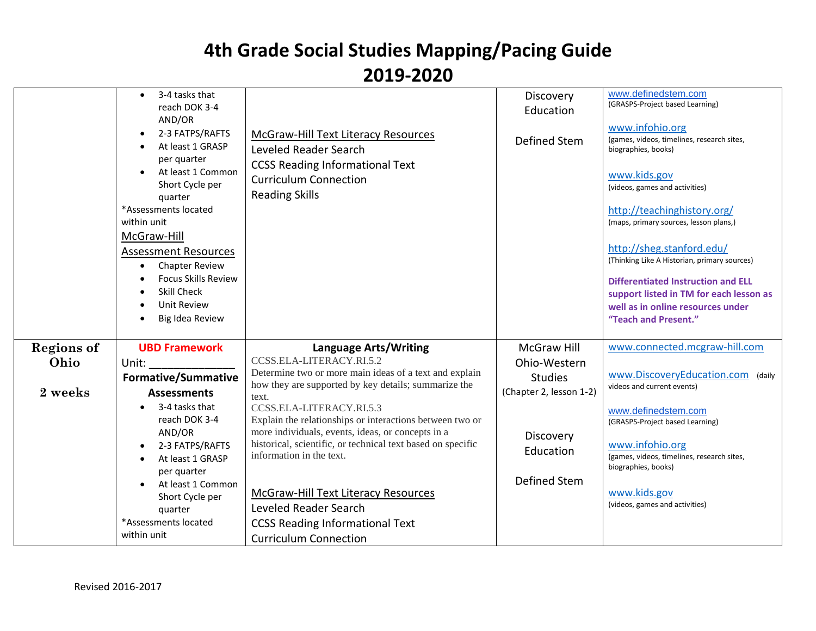|                   | 3-4 tasks that<br>reach DOK 3-4<br>AND/OR<br>2-3 FATPS/RAFTS<br>At least 1 GRASP<br>per quarter<br>At least 1 Common<br>Short Cycle per<br>quarter<br>*Assessments located<br>within unit<br>McGraw-Hill<br><b>Assessment Resources</b><br><b>Chapter Review</b><br>$\bullet$<br><b>Focus Skills Review</b><br>Skill Check<br><b>Unit Review</b><br>Big Idea Review | McGraw-Hill Text Literacy Resources<br>Leveled Reader Search<br><b>CCSS Reading Informational Text</b><br><b>Curriculum Connection</b><br><b>Reading Skills</b> | Discovery<br>Education<br><b>Defined Stem</b> | www.definedstem.com<br>(GRASPS-Project based Learning)<br>www.infohio.org<br>(games, videos, timelines, research sites,<br>biographies, books)<br>www.kids.gov<br>(videos, games and activities)<br>http://teachinghistory.org/<br>(maps, primary sources, lesson plans,)<br>http://sheg.stanford.edu/<br>(Thinking Like A Historian, primary sources)<br><b>Differentiated Instruction and ELL</b><br>support listed in TM for each lesson as<br>well as in online resources under<br>"Teach and Present." |
|-------------------|---------------------------------------------------------------------------------------------------------------------------------------------------------------------------------------------------------------------------------------------------------------------------------------------------------------------------------------------------------------------|-----------------------------------------------------------------------------------------------------------------------------------------------------------------|-----------------------------------------------|-------------------------------------------------------------------------------------------------------------------------------------------------------------------------------------------------------------------------------------------------------------------------------------------------------------------------------------------------------------------------------------------------------------------------------------------------------------------------------------------------------------|
| <b>Regions of</b> | <b>UBD Framework</b>                                                                                                                                                                                                                                                                                                                                                | <b>Language Arts/Writing</b>                                                                                                                                    | <b>McGraw Hill</b>                            | www.connected.mcgraw-hill.com                                                                                                                                                                                                                                                                                                                                                                                                                                                                               |
| Ohio              | Unit:                                                                                                                                                                                                                                                                                                                                                               | CCSS.ELA-LITERACY.RI.5.2<br>Determine two or more main ideas of a text and explain                                                                              | Ohio-Western                                  |                                                                                                                                                                                                                                                                                                                                                                                                                                                                                                             |
|                   | <b>Formative/Summative</b>                                                                                                                                                                                                                                                                                                                                          | how they are supported by key details; summarize the                                                                                                            | <b>Studies</b>                                | www.DiscoveryEducation.com (daily<br>videos and current events)                                                                                                                                                                                                                                                                                                                                                                                                                                             |
| 2 weeks           | <b>Assessments</b>                                                                                                                                                                                                                                                                                                                                                  | text.                                                                                                                                                           | (Chapter 2, lesson 1-2)                       |                                                                                                                                                                                                                                                                                                                                                                                                                                                                                                             |
|                   | 3-4 tasks that<br>reach DOK 3-4                                                                                                                                                                                                                                                                                                                                     | CCSS.ELA-LITERACY.RI.5.3<br>Explain the relationships or interactions between two or                                                                            |                                               | www.definedstem.com<br>(GRASPS-Project based Learning)                                                                                                                                                                                                                                                                                                                                                                                                                                                      |
|                   | AND/OR                                                                                                                                                                                                                                                                                                                                                              | more individuals, events, ideas, or concepts in a                                                                                                               | Discovery                                     |                                                                                                                                                                                                                                                                                                                                                                                                                                                                                                             |
|                   | 2-3 FATPS/RAFTS                                                                                                                                                                                                                                                                                                                                                     | historical, scientific, or technical text based on specific                                                                                                     | Education                                     | www.infohio.org                                                                                                                                                                                                                                                                                                                                                                                                                                                                                             |
|                   | At least 1 GRASP                                                                                                                                                                                                                                                                                                                                                    | information in the text.                                                                                                                                        |                                               | (games, videos, timelines, research sites,<br>biographies, books)                                                                                                                                                                                                                                                                                                                                                                                                                                           |
|                   | per quarter                                                                                                                                                                                                                                                                                                                                                         |                                                                                                                                                                 | <b>Defined Stem</b>                           |                                                                                                                                                                                                                                                                                                                                                                                                                                                                                                             |
|                   | At least 1 Common<br>Short Cycle per                                                                                                                                                                                                                                                                                                                                | McGraw-Hill Text Literacy Resources                                                                                                                             |                                               | www.kids.gov                                                                                                                                                                                                                                                                                                                                                                                                                                                                                                |
|                   | quarter                                                                                                                                                                                                                                                                                                                                                             | Leveled Reader Search                                                                                                                                           |                                               | (videos, games and activities)                                                                                                                                                                                                                                                                                                                                                                                                                                                                              |
|                   | *Assessments located                                                                                                                                                                                                                                                                                                                                                | <b>CCSS Reading Informational Text</b>                                                                                                                          |                                               |                                                                                                                                                                                                                                                                                                                                                                                                                                                                                                             |
|                   | within unit                                                                                                                                                                                                                                                                                                                                                         | <b>Curriculum Connection</b>                                                                                                                                    |                                               |                                                                                                                                                                                                                                                                                                                                                                                                                                                                                                             |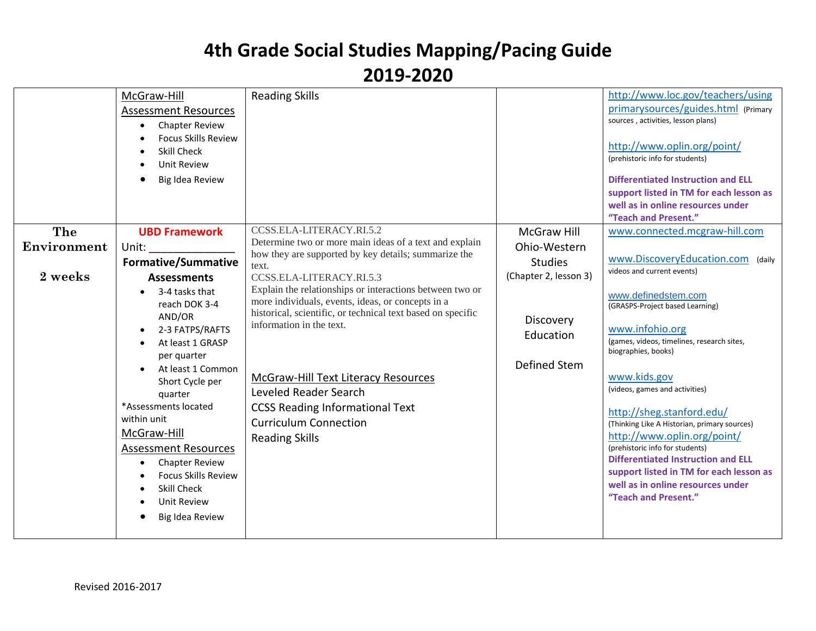|             | McGraw-Hill<br><b>Assessment Resources</b><br><b>Chapter Review</b><br><b>Focus Skills Review</b><br><b>Skill Check</b><br>Unit Review<br>Big Idea Review                                                                                                                                                                                                           | <b>Reading Skills</b>                                                                                                                                                                                                                                                                                                                                                       |                                               | http://www.loc.gov/teachers/using<br>primarysources/guides.html (Primary<br>sources, activities, lesson plans)<br>http://www.oplin.org/point/<br>(prehistoric info for students)<br><b>Differentiated Instruction and ELL</b><br>support listed in TM for each lesson as<br>well as in online resources under<br>"Teach and Present."                                                                                                                                                                |
|-------------|---------------------------------------------------------------------------------------------------------------------------------------------------------------------------------------------------------------------------------------------------------------------------------------------------------------------------------------------------------------------|-----------------------------------------------------------------------------------------------------------------------------------------------------------------------------------------------------------------------------------------------------------------------------------------------------------------------------------------------------------------------------|-----------------------------------------------|------------------------------------------------------------------------------------------------------------------------------------------------------------------------------------------------------------------------------------------------------------------------------------------------------------------------------------------------------------------------------------------------------------------------------------------------------------------------------------------------------|
| The         | <b>UBD Framework</b>                                                                                                                                                                                                                                                                                                                                                | CCSS.ELA-LITERACY.RI.5.2                                                                                                                                                                                                                                                                                                                                                    | <b>McGraw Hill</b>                            | www.connected.mcgraw-hill.com                                                                                                                                                                                                                                                                                                                                                                                                                                                                        |
| Environment | Unit:                                                                                                                                                                                                                                                                                                                                                               | Determine two or more main ideas of a text and explain                                                                                                                                                                                                                                                                                                                      | Ohio-Western                                  |                                                                                                                                                                                                                                                                                                                                                                                                                                                                                                      |
|             | <b>Formative/Summative</b>                                                                                                                                                                                                                                                                                                                                          | how they are supported by key details; summarize the<br>text.                                                                                                                                                                                                                                                                                                               | <b>Studies</b>                                | www.DiscoveryEducation.com (daily                                                                                                                                                                                                                                                                                                                                                                                                                                                                    |
| 2 weeks     | <b>Assessments</b>                                                                                                                                                                                                                                                                                                                                                  | CCSS.ELA-LITERACY.RI.5.3                                                                                                                                                                                                                                                                                                                                                    | (Chapter 2, lesson 3)                         | videos and current events)                                                                                                                                                                                                                                                                                                                                                                                                                                                                           |
|             | 3-4 tasks that<br>reach DOK 3-4<br>AND/OR<br>2-3 FATPS/RAFTS<br>At least 1 GRASP<br>per quarter<br>At least 1 Common<br>Short Cycle per<br>quarter<br>*Assessments located<br>within unit<br>McGraw-Hill<br><b>Assessment Resources</b><br><b>Chapter Review</b><br>$\bullet$<br><b>Focus Skills Review</b><br><b>Skill Check</b><br>Unit Review<br>Big Idea Review | Explain the relationships or interactions between two or<br>more individuals, events, ideas, or concepts in a<br>historical, scientific, or technical text based on specific<br>information in the text.<br>McGraw-Hill Text Literacy Resources<br>Leveled Reader Search<br><b>CCSS Reading Informational Text</b><br><b>Curriculum Connection</b><br><b>Reading Skills</b> | Discovery<br>Education<br><b>Defined Stem</b> | www.definedstem.com<br>(GRASPS-Project based Learning)<br>www.infohio.org<br>(games, videos, timelines, research sites,<br>biographies, books)<br>www.kids.gov<br>(videos, games and activities)<br>http://sheg.stanford.edu/<br>(Thinking Like A Historian, primary sources)<br>http://www.oplin.org/point/<br>(prehistoric info for students)<br><b>Differentiated Instruction and ELL</b><br>support listed in TM for each lesson as<br>well as in online resources under<br>"Teach and Present." |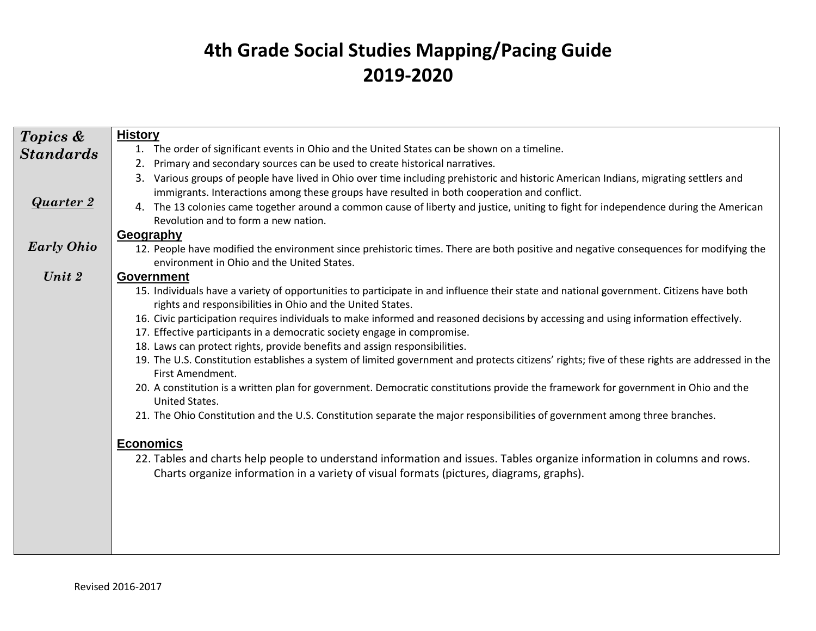| Topics &          | <b>History</b>                                                                                                                                                    |
|-------------------|-------------------------------------------------------------------------------------------------------------------------------------------------------------------|
| <b>Standards</b>  | 1. The order of significant events in Ohio and the United States can be shown on a timeline.                                                                      |
|                   | Primary and secondary sources can be used to create historical narratives.<br>2.                                                                                  |
|                   | Various groups of people have lived in Ohio over time including prehistoric and historic American Indians, migrating settlers and<br>3.                           |
|                   | immigrants. Interactions among these groups have resulted in both cooperation and conflict.                                                                       |
| <b>Quarter 2</b>  | The 13 colonies came together around a common cause of liberty and justice, uniting to fight for independence during the American<br>4.                           |
|                   | Revolution and to form a new nation.                                                                                                                              |
|                   | Geography                                                                                                                                                         |
| <b>Early Ohio</b> | 12. People have modified the environment since prehistoric times. There are both positive and negative consequences for modifying the                             |
| Unit 2            | environment in Ohio and the United States.                                                                                                                        |
|                   | <b>Government</b><br>15. Individuals have a variety of opportunities to participate in and influence their state and national government. Citizens have both      |
|                   | rights and responsibilities in Ohio and the United States.                                                                                                        |
|                   | 16. Civic participation requires individuals to make informed and reasoned decisions by accessing and using information effectively.                              |
|                   | 17. Effective participants in a democratic society engage in compromise.                                                                                          |
|                   | 18. Laws can protect rights, provide benefits and assign responsibilities.                                                                                        |
|                   | 19. The U.S. Constitution establishes a system of limited government and protects citizens' rights; five of these rights are addressed in the<br>First Amendment. |
|                   | 20. A constitution is a written plan for government. Democratic constitutions provide the framework for government in Ohio and the<br>United States.              |
|                   | 21. The Ohio Constitution and the U.S. Constitution separate the major responsibilities of government among three branches.                                       |
|                   | <b>Economics</b>                                                                                                                                                  |
|                   | 22. Tables and charts help people to understand information and issues. Tables organize information in columns and rows.                                          |
|                   | Charts organize information in a variety of visual formats (pictures, diagrams, graphs).                                                                          |
|                   |                                                                                                                                                                   |
|                   |                                                                                                                                                                   |
|                   |                                                                                                                                                                   |
|                   |                                                                                                                                                                   |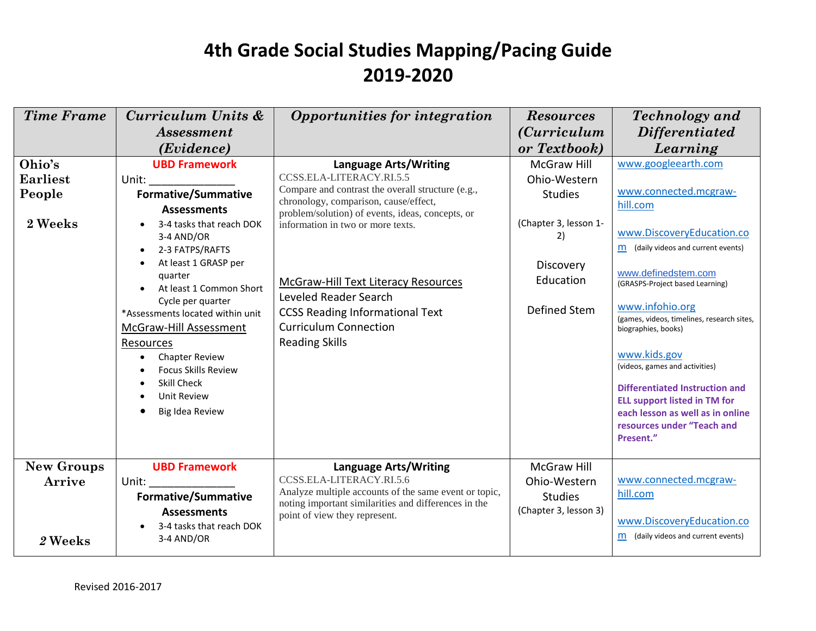| <b>Time Frame</b>                              | Curriculum Units &<br><i>Assessment</i>                                                                                                                                                                                                                                                                                                                                                                                                  | Opportunities for integration                                                                                                                                                                                                                                                                                                                                                                                             | <b>Resources</b><br><i>(Curriculum</i> )                                                                               | <b>Technology</b> and<br><b>Differentiated</b>                                                                                                                                                                                                                                                                                                                                                                                                                                                  |
|------------------------------------------------|------------------------------------------------------------------------------------------------------------------------------------------------------------------------------------------------------------------------------------------------------------------------------------------------------------------------------------------------------------------------------------------------------------------------------------------|---------------------------------------------------------------------------------------------------------------------------------------------------------------------------------------------------------------------------------------------------------------------------------------------------------------------------------------------------------------------------------------------------------------------------|------------------------------------------------------------------------------------------------------------------------|-------------------------------------------------------------------------------------------------------------------------------------------------------------------------------------------------------------------------------------------------------------------------------------------------------------------------------------------------------------------------------------------------------------------------------------------------------------------------------------------------|
|                                                | ( <i>Evidence</i> )                                                                                                                                                                                                                                                                                                                                                                                                                      |                                                                                                                                                                                                                                                                                                                                                                                                                           | or Textbook)                                                                                                           | Learning                                                                                                                                                                                                                                                                                                                                                                                                                                                                                        |
| Ohio's<br><b>Earliest</b><br>People<br>2 Weeks | <b>UBD Framework</b><br>Unit:<br><b>Formative/Summative</b><br><b>Assessments</b><br>3-4 tasks that reach DOK<br>3-4 AND/OR<br>2-3 FATPS/RAFTS<br>$\bullet$<br>At least 1 GRASP per<br>quarter<br>At least 1 Common Short<br>Cycle per quarter<br>*Assessments located within unit<br>McGraw-Hill Assessment<br>Resources<br><b>Chapter Review</b><br><b>Focus Skills Review</b><br>Skill Check<br><b>Unit Review</b><br>Big Idea Review | <b>Language Arts/Writing</b><br>CCSS.ELA-LITERACY.RI.5.5<br>Compare and contrast the overall structure (e.g.,<br>chronology, comparison, cause/effect,<br>problem/solution) of events, ideas, concepts, or<br>information in two or more texts.<br><b>McGraw-Hill Text Literacy Resources</b><br>Leveled Reader Search<br><b>CCSS Reading Informational Text</b><br><b>Curriculum Connection</b><br><b>Reading Skills</b> | McGraw Hill<br>Ohio-Western<br><b>Studies</b><br>(Chapter 3, lesson 1-<br>2)<br>Discovery<br>Education<br>Defined Stem | www.googleearth.com<br>www.connected.mcgraw-<br>hill.com<br>www.DiscoveryEducation.co<br>m (daily videos and current events)<br>www.definedstem.com<br>(GRASPS-Project based Learning)<br>www.infohio.org<br>(games, videos, timelines, research sites,<br>biographies, books)<br>www.kids.gov<br>(videos, games and activities)<br><b>Differentiated Instruction and</b><br><b>ELL support listed in TM for</b><br>each lesson as well as in online<br>resources under "Teach and<br>Present." |
| <b>New Groups</b><br>Arrive<br>2 Weeks         | <b>UBD Framework</b><br>Unit:<br><b>Formative/Summative</b><br><b>Assessments</b><br>3-4 tasks that reach DOK<br>3-4 AND/OR                                                                                                                                                                                                                                                                                                              | <b>Language Arts/Writing</b><br>CCSS.ELA-LITERACY.RI.5.6<br>Analyze multiple accounts of the same event or topic,<br>noting important similarities and differences in the<br>point of view they represent.                                                                                                                                                                                                                | <b>McGraw Hill</b><br>Ohio-Western<br><b>Studies</b><br>(Chapter 3, lesson 3)                                          | www.connected.mcgraw-<br>hill.com<br>www.DiscoveryEducation.co<br>(daily videos and current events)<br>m                                                                                                                                                                                                                                                                                                                                                                                        |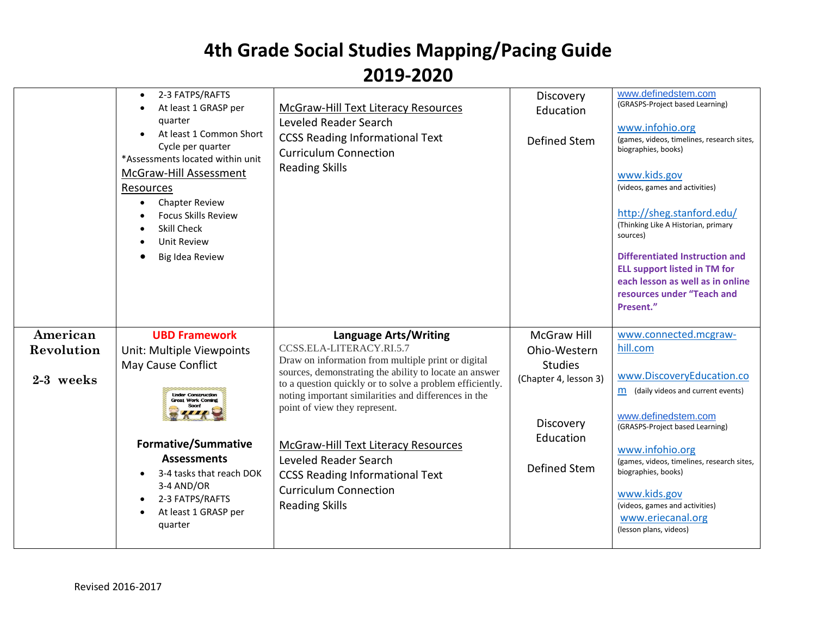|                                     | 2-3 FATPS/RAFTS<br>$\bullet$<br>At least 1 GRASP per<br>quarter<br>At least 1 Common Short<br>Cycle per quarter<br>*Assessments located within unit<br><b>McGraw-Hill Assessment</b><br>Resources<br><b>Chapter Review</b><br><b>Focus Skills Review</b><br>Skill Check<br><b>Unit Review</b><br>Big Idea Review | <b>McGraw-Hill Text Literacy Resources</b><br>Leveled Reader Search<br><b>CCSS Reading Informational Text</b><br><b>Curriculum Connection</b><br><b>Reading Skills</b>                                                                                                                                                                                                                                                                                                                    | Discovery<br>Education<br>Defined Stem                                                                                         | www.definedstem.com<br>(GRASPS-Project based Learning)<br>www.infohio.org<br>(games, videos, timelines, research sites,<br>biographies, books)<br>www.kids.gov<br>(videos, games and activities)<br>http://sheg.stanford.edu/<br>(Thinking Like A Historian, primary<br>sources)<br><b>Differentiated Instruction and</b><br><b>ELL support listed in TM for</b><br>each lesson as well as in online<br>resources under "Teach and<br>Present." |
|-------------------------------------|------------------------------------------------------------------------------------------------------------------------------------------------------------------------------------------------------------------------------------------------------------------------------------------------------------------|-------------------------------------------------------------------------------------------------------------------------------------------------------------------------------------------------------------------------------------------------------------------------------------------------------------------------------------------------------------------------------------------------------------------------------------------------------------------------------------------|--------------------------------------------------------------------------------------------------------------------------------|-------------------------------------------------------------------------------------------------------------------------------------------------------------------------------------------------------------------------------------------------------------------------------------------------------------------------------------------------------------------------------------------------------------------------------------------------|
| American<br>Revolution<br>2-3 weeks | <b>UBD Framework</b><br>Unit: Multiple Viewpoints<br>May Cause Conflict<br><b>Linder Construction</b><br><b>Great Work Coming</b><br><b>Formative/Summative</b><br><b>Assessments</b><br>3-4 tasks that reach DOK<br>3-4 AND/OR<br>2-3 FATPS/RAFTS<br>At least 1 GRASP per<br>quarter                            | Language Arts/Writing<br>CCSS.ELA-LITERACY.RI.5.7<br>Draw on information from multiple print or digital<br>sources, demonstrating the ability to locate an answer<br>to a question quickly or to solve a problem efficiently.<br>noting important similarities and differences in the<br>point of view they represent.<br>McGraw-Hill Text Literacy Resources<br>Leveled Reader Search<br><b>CCSS Reading Informational Text</b><br><b>Curriculum Connection</b><br><b>Reading Skills</b> | <b>McGraw Hill</b><br>Ohio-Western<br><b>Studies</b><br>(Chapter 4, lesson 3)<br>Discovery<br>Education<br><b>Defined Stem</b> | www.connected.mcgraw-<br>hill.com<br>www.DiscoveryEducation.co<br>m (daily videos and current events)<br>www.definedstem.com<br>(GRASPS-Project based Learning)<br>www.infohio.org<br>(games, videos, timelines, research sites,<br>biographies, books)<br>www.kids.gov<br>(videos, games and activities)<br>www.eriecanal.org<br>(lesson plans, videos)                                                                                        |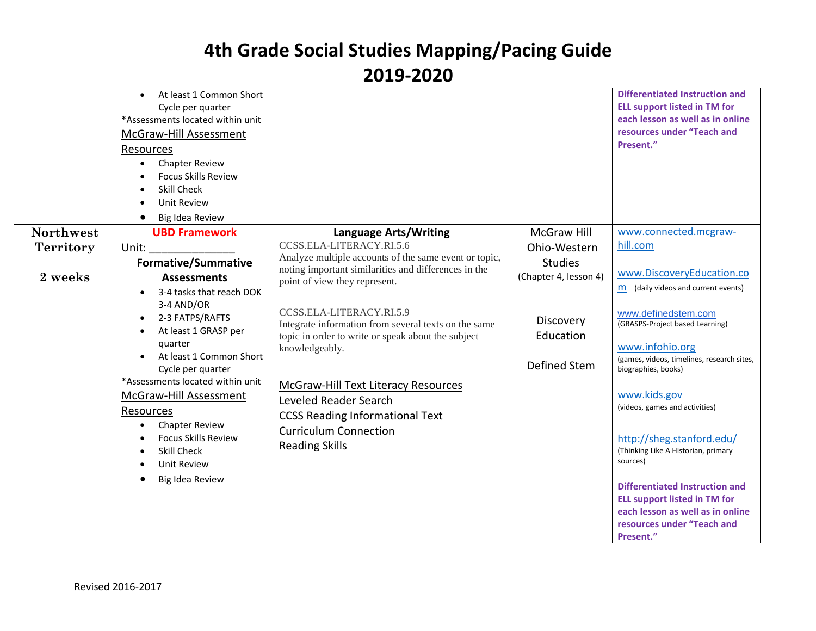|                  | At least 1 Common Short<br>Cycle per quarter<br>*Assessments located within unit<br><b>McGraw-Hill Assessment</b><br>Resources<br><b>Chapter Review</b><br><b>Focus Skills Review</b><br><b>Skill Check</b><br><b>Unit Review</b><br>Big Idea Review |                                                       |                       | <b>Differentiated Instruction and</b><br><b>ELL support listed in TM for</b><br>each lesson as well as in online<br>resources under "Teach and<br>Present." |
|------------------|------------------------------------------------------------------------------------------------------------------------------------------------------------------------------------------------------------------------------------------------------|-------------------------------------------------------|-----------------------|-------------------------------------------------------------------------------------------------------------------------------------------------------------|
| <b>Northwest</b> | <b>UBD Framework</b>                                                                                                                                                                                                                                 | <b>Language Arts/Writing</b>                          | <b>McGraw Hill</b>    | www.connected.mcgraw-                                                                                                                                       |
|                  |                                                                                                                                                                                                                                                      | CCSS.ELA-LITERACY.RI.5.6                              |                       | hill.com                                                                                                                                                    |
| <b>Territory</b> | Unit:                                                                                                                                                                                                                                                | Analyze multiple accounts of the same event or topic, | Ohio-Western          |                                                                                                                                                             |
|                  | <b>Formative/Summative</b>                                                                                                                                                                                                                           | noting important similarities and differences in the  | <b>Studies</b>        |                                                                                                                                                             |
| 2 weeks          | <b>Assessments</b>                                                                                                                                                                                                                                   | point of view they represent.                         | (Chapter 4, lesson 4) | www.DiscoveryEducation.co                                                                                                                                   |
|                  | 3-4 tasks that reach DOK                                                                                                                                                                                                                             |                                                       |                       | $m$ (daily videos and current events)                                                                                                                       |
|                  | 3-4 AND/OR                                                                                                                                                                                                                                           |                                                       |                       |                                                                                                                                                             |
|                  | 2-3 FATPS/RAFTS                                                                                                                                                                                                                                      | CCSS.ELA-LITERACY.RI.5.9                              | Discovery             | www.definedstem.com                                                                                                                                         |
|                  | At least 1 GRASP per                                                                                                                                                                                                                                 | Integrate information from several texts on the same  |                       | (GRASPS-Project based Learning)                                                                                                                             |
|                  | quarter                                                                                                                                                                                                                                              | topic in order to write or speak about the subject    | Education             | www.infohio.org                                                                                                                                             |
|                  | At least 1 Common Short                                                                                                                                                                                                                              | knowledgeably.                                        |                       | (games, videos, timelines, research sites,                                                                                                                  |
|                  | Cycle per quarter                                                                                                                                                                                                                                    |                                                       | Defined Stem          | biographies, books)                                                                                                                                         |
|                  | *Assessments located within unit                                                                                                                                                                                                                     |                                                       |                       |                                                                                                                                                             |
|                  | McGraw-Hill Assessment                                                                                                                                                                                                                               | McGraw-Hill Text Literacy Resources                   |                       | www.kids.gov                                                                                                                                                |
|                  |                                                                                                                                                                                                                                                      | Leveled Reader Search                                 |                       | (videos, games and activities)                                                                                                                              |
|                  | Resources                                                                                                                                                                                                                                            | <b>CCSS Reading Informational Text</b>                |                       |                                                                                                                                                             |
|                  | <b>Chapter Review</b><br>$\bullet$<br><b>Focus Skills Review</b>                                                                                                                                                                                     | <b>Curriculum Connection</b>                          |                       | http://sheg.stanford.edu/                                                                                                                                   |
|                  | <b>Skill Check</b>                                                                                                                                                                                                                                   | <b>Reading Skills</b>                                 |                       | (Thinking Like A Historian, primary                                                                                                                         |
|                  | <b>Unit Review</b>                                                                                                                                                                                                                                   |                                                       |                       | sources)                                                                                                                                                    |
|                  |                                                                                                                                                                                                                                                      |                                                       |                       |                                                                                                                                                             |
|                  | Big Idea Review                                                                                                                                                                                                                                      |                                                       |                       | Differentiated Instruction and                                                                                                                              |
|                  |                                                                                                                                                                                                                                                      |                                                       |                       | <b>ELL support listed in TM for</b>                                                                                                                         |
|                  |                                                                                                                                                                                                                                                      |                                                       |                       | each lesson as well as in online                                                                                                                            |
|                  |                                                                                                                                                                                                                                                      |                                                       |                       | resources under "Teach and                                                                                                                                  |
|                  |                                                                                                                                                                                                                                                      |                                                       |                       | Present."                                                                                                                                                   |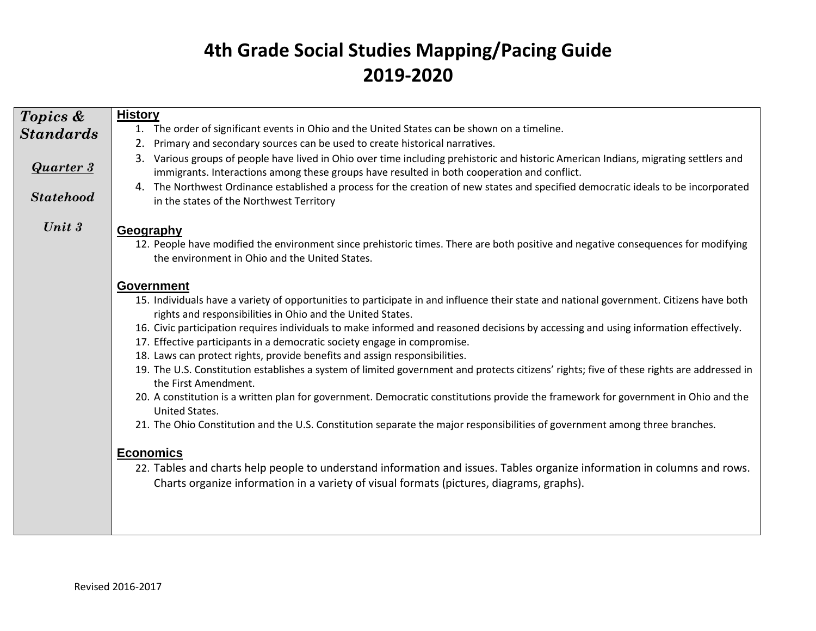| Topics &         | <b>History</b>                                                                                                                                                                                                                      |
|------------------|-------------------------------------------------------------------------------------------------------------------------------------------------------------------------------------------------------------------------------------|
| <b>Standards</b> | 1. The order of significant events in Ohio and the United States can be shown on a timeline.                                                                                                                                        |
|                  | Primary and secondary sources can be used to create historical narratives.<br>2.                                                                                                                                                    |
| <b>Quarter 3</b> | 3. Various groups of people have lived in Ohio over time including prehistoric and historic American Indians, migrating settlers and<br>immigrants. Interactions among these groups have resulted in both cooperation and conflict. |
| <b>Statehood</b> | 4. The Northwest Ordinance established a process for the creation of new states and specified democratic ideals to be incorporated<br>in the states of the Northwest Territory                                                      |
| Unit $3$         | Geography                                                                                                                                                                                                                           |
|                  | 12. People have modified the environment since prehistoric times. There are both positive and negative consequences for modifying<br>the environment in Ohio and the United States.                                                 |
|                  | Government                                                                                                                                                                                                                          |
|                  | 15. Individuals have a variety of opportunities to participate in and influence their state and national government. Citizens have both<br>rights and responsibilities in Ohio and the United States.                               |
|                  | 16. Civic participation requires individuals to make informed and reasoned decisions by accessing and using information effectively.<br>17. Effective participants in a democratic society engage in compromise.                    |
|                  | 18. Laws can protect rights, provide benefits and assign responsibilities.                                                                                                                                                          |
|                  | 19. The U.S. Constitution establishes a system of limited government and protects citizens' rights; five of these rights are addressed in<br>the First Amendment.                                                                   |
|                  | 20. A constitution is a written plan for government. Democratic constitutions provide the framework for government in Ohio and the<br>United States.                                                                                |
|                  | 21. The Ohio Constitution and the U.S. Constitution separate the major responsibilities of government among three branches.                                                                                                         |
|                  | <b>Economics</b>                                                                                                                                                                                                                    |
|                  | 22. Tables and charts help people to understand information and issues. Tables organize information in columns and rows.<br>Charts organize information in a variety of visual formats (pictures, diagrams, graphs).                |
|                  |                                                                                                                                                                                                                                     |
|                  |                                                                                                                                                                                                                                     |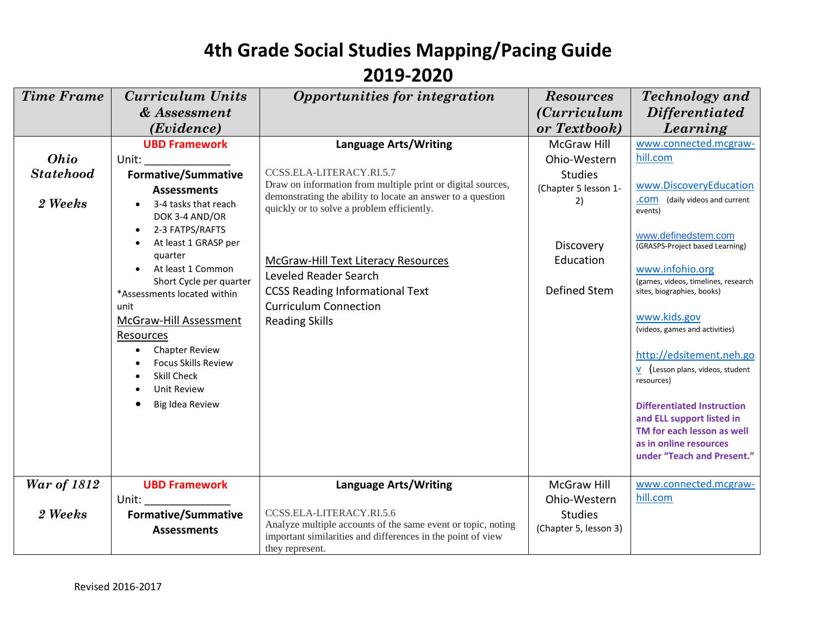| <b>Time Frame</b><br><b>Curriculum Units</b><br>Opportunities for integration<br><b>Resources</b><br><b>Technology</b> and<br><i>(Curriculum</i> )<br><b>Differentiated</b><br>& Assessment<br>Learning<br>(Evidence)<br>or Textbook) |  |
|---------------------------------------------------------------------------------------------------------------------------------------------------------------------------------------------------------------------------------------|--|
|                                                                                                                                                                                                                                       |  |
|                                                                                                                                                                                                                                       |  |
|                                                                                                                                                                                                                                       |  |
| www.connected.mcgraw-<br><b>UBD Framework</b><br><b>Language Arts/Writing</b><br><b>McGraw Hill</b>                                                                                                                                   |  |
| hill.com<br>Ohio<br>Ohio-Western<br>Unit:                                                                                                                                                                                             |  |
| CCSS.ELA-LITERACY.RI.5.7<br><b>Statehood</b><br><b>Formative/Summative</b><br><b>Studies</b><br>Draw on information from multiple print or digital sources,<br>www.DiscoveryEducation                                                 |  |
| (Chapter 5 lesson 1-<br><b>Assessments</b><br>demonstrating the ability to locate an answer to a question                                                                                                                             |  |
| (daily videos and current<br>.com<br>2)<br>2 Weeks<br>3-4 tasks that reach<br>quickly or to solve a problem efficiently.<br>events)                                                                                                   |  |
| DOK 3-4 AND/OR                                                                                                                                                                                                                        |  |
| 2-3 FATPS/RAFTS<br>$\bullet$<br>www.definedstem.com<br>At least 1 GRASP per                                                                                                                                                           |  |
| Discovery<br>(GRASPS-Project based Learning)<br>quarter                                                                                                                                                                               |  |
| Education<br>McGraw-Hill Text Literacy Resources<br>At least 1 Common<br>www.infohio.org                                                                                                                                              |  |
| Leveled Reader Search<br>Short Cycle per quarter<br>(games, videos, timelines, research                                                                                                                                               |  |
| Defined Stem<br><b>CCSS Reading Informational Text</b><br>sites, biographies, books)<br>*Assessments located within                                                                                                                   |  |
| <b>Curriculum Connection</b><br>unit                                                                                                                                                                                                  |  |
| www.kids.gov<br>McGraw-Hill Assessment<br><b>Reading Skills</b><br>(videos, games and activities)                                                                                                                                     |  |
| Resources                                                                                                                                                                                                                             |  |
| <b>Chapter Review</b><br>http://edsitement.neh.go                                                                                                                                                                                     |  |
| <b>Focus Skills Review</b><br>$V$ (Lesson plans, videos, student                                                                                                                                                                      |  |
| Skill Check<br>resources)<br><b>Unit Review</b>                                                                                                                                                                                       |  |
|                                                                                                                                                                                                                                       |  |
| Big Idea Review<br><b>Differentiated Instruction</b>                                                                                                                                                                                  |  |
| and ELL support listed in<br>TM for each lesson as well                                                                                                                                                                               |  |
| as in online resources                                                                                                                                                                                                                |  |
| under "Teach and Present."                                                                                                                                                                                                            |  |
|                                                                                                                                                                                                                                       |  |
| <b>War of 1812</b><br><b>UBD Framework</b><br>www.connected.mcgraw-<br><b>Language Arts/Writing</b><br>McGraw Hill                                                                                                                    |  |
| hill.com<br>Ohio-Western<br>Unit:                                                                                                                                                                                                     |  |
| CCSS.ELA-LITERACY.RI.5.6<br>2 Weeks<br><b>Formative/Summative</b><br><b>Studies</b>                                                                                                                                                   |  |
| Analyze multiple accounts of the same event or topic, noting<br>(Chapter 5, lesson 3)<br><b>Assessments</b><br>important similarities and differences in the point of view                                                            |  |
| they represent.                                                                                                                                                                                                                       |  |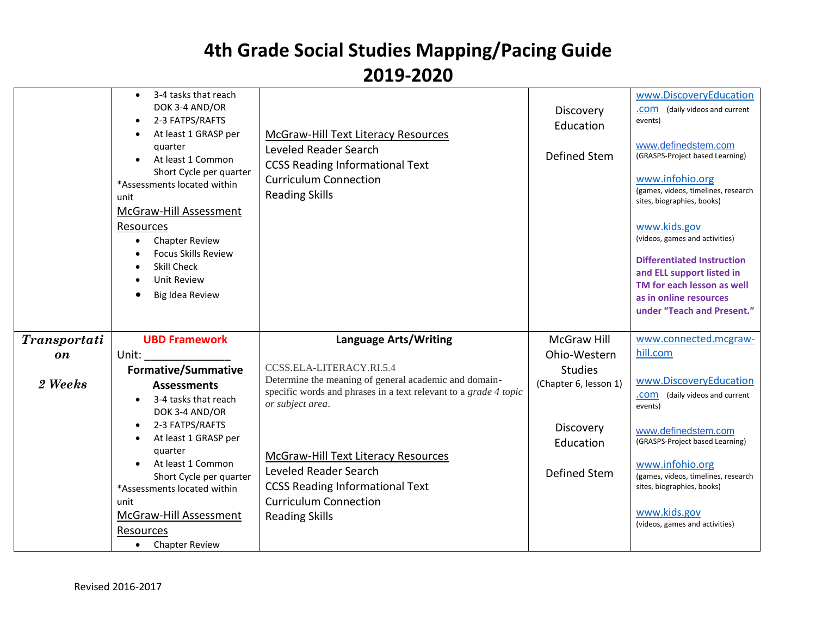|                     | 3-4 tasks that reach<br>DOK 3-4 AND/OR<br>2-3 FATPS/RAFTS<br>$\bullet$<br>At least 1 GRASP per<br>quarter<br>At least 1 Common<br>Short Cycle per quarter<br>*Assessments located within<br>unit<br>McGraw-Hill Assessment<br>Resources<br><b>Chapter Review</b><br>$\bullet$<br><b>Focus Skills Review</b><br>Skill Check<br><b>Unit Review</b><br>$\bullet$<br>Big Idea Review | McGraw-Hill Text Literacy Resources<br>Leveled Reader Search<br><b>CCSS Reading Informational Text</b><br><b>Curriculum Connection</b><br><b>Reading Skills</b> | Discovery<br>Education<br>Defined Stem | www.DiscoveryEducation<br>(daily videos and current<br>.com<br>events)<br>www.definedstem.com<br>(GRASPS-Project based Learning)<br>www.infohio.org<br>(games, videos, timelines, research<br>sites, biographies, books)<br>www.kids.gov<br>(videos, games and activities)<br><b>Differentiated Instruction</b><br>and ELL support listed in<br>TM for each lesson as well<br>as in online resources<br>under "Teach and Present." |
|---------------------|----------------------------------------------------------------------------------------------------------------------------------------------------------------------------------------------------------------------------------------------------------------------------------------------------------------------------------------------------------------------------------|-----------------------------------------------------------------------------------------------------------------------------------------------------------------|----------------------------------------|------------------------------------------------------------------------------------------------------------------------------------------------------------------------------------------------------------------------------------------------------------------------------------------------------------------------------------------------------------------------------------------------------------------------------------|
| <b>Transportati</b> | <b>UBD Framework</b>                                                                                                                                                                                                                                                                                                                                                             | <b>Language Arts/Writing</b>                                                                                                                                    | <b>McGraw Hill</b>                     | www.connected.mcgraw-                                                                                                                                                                                                                                                                                                                                                                                                              |
| on                  | Unit:                                                                                                                                                                                                                                                                                                                                                                            |                                                                                                                                                                 | Ohio-Western                           | hill.com                                                                                                                                                                                                                                                                                                                                                                                                                           |
|                     | <b>Formative/Summative</b>                                                                                                                                                                                                                                                                                                                                                       | CCSS.ELA-LITERACY.RI.5.4                                                                                                                                        | <b>Studies</b>                         |                                                                                                                                                                                                                                                                                                                                                                                                                                    |
| 2 Weeks             | <b>Assessments</b>                                                                                                                                                                                                                                                                                                                                                               | Determine the meaning of general academic and domain-                                                                                                           | (Chapter 6, lesson 1)                  | www.DiscoveryEducation                                                                                                                                                                                                                                                                                                                                                                                                             |
|                     | 3-4 tasks that reach<br>$\bullet$                                                                                                                                                                                                                                                                                                                                                | specific words and phrases in a text relevant to a grade 4 topic                                                                                                |                                        | .COM (daily videos and current                                                                                                                                                                                                                                                                                                                                                                                                     |
|                     | DOK 3-4 AND/OR                                                                                                                                                                                                                                                                                                                                                                   | or subject area.                                                                                                                                                |                                        | events)                                                                                                                                                                                                                                                                                                                                                                                                                            |
|                     | 2-3 FATPS/RAFTS<br>$\bullet$                                                                                                                                                                                                                                                                                                                                                     |                                                                                                                                                                 | Discovery                              | www.definedstem.com                                                                                                                                                                                                                                                                                                                                                                                                                |
|                     | At least 1 GRASP per<br>$\bullet$                                                                                                                                                                                                                                                                                                                                                |                                                                                                                                                                 | Education                              | (GRASPS-Project based Learning)                                                                                                                                                                                                                                                                                                                                                                                                    |
|                     | quarter<br>At least 1 Common<br>$\bullet$                                                                                                                                                                                                                                                                                                                                        | McGraw-Hill Text Literacy Resources                                                                                                                             |                                        |                                                                                                                                                                                                                                                                                                                                                                                                                                    |
|                     | Short Cycle per quarter                                                                                                                                                                                                                                                                                                                                                          | Leveled Reader Search                                                                                                                                           | Defined Stem                           | www.infohio.org<br>(games, videos, timelines, research                                                                                                                                                                                                                                                                                                                                                                             |
|                     | *Assessments located within                                                                                                                                                                                                                                                                                                                                                      | <b>CCSS Reading Informational Text</b>                                                                                                                          |                                        | sites, biographies, books)                                                                                                                                                                                                                                                                                                                                                                                                         |
|                     | unit                                                                                                                                                                                                                                                                                                                                                                             | <b>Curriculum Connection</b>                                                                                                                                    |                                        |                                                                                                                                                                                                                                                                                                                                                                                                                                    |
|                     | McGraw-Hill Assessment                                                                                                                                                                                                                                                                                                                                                           | <b>Reading Skills</b>                                                                                                                                           |                                        | www.kids.gov<br>(videos, games and activities)                                                                                                                                                                                                                                                                                                                                                                                     |
|                     | Resources                                                                                                                                                                                                                                                                                                                                                                        |                                                                                                                                                                 |                                        |                                                                                                                                                                                                                                                                                                                                                                                                                                    |
|                     | <b>Chapter Review</b><br>$\bullet$                                                                                                                                                                                                                                                                                                                                               |                                                                                                                                                                 |                                        |                                                                                                                                                                                                                                                                                                                                                                                                                                    |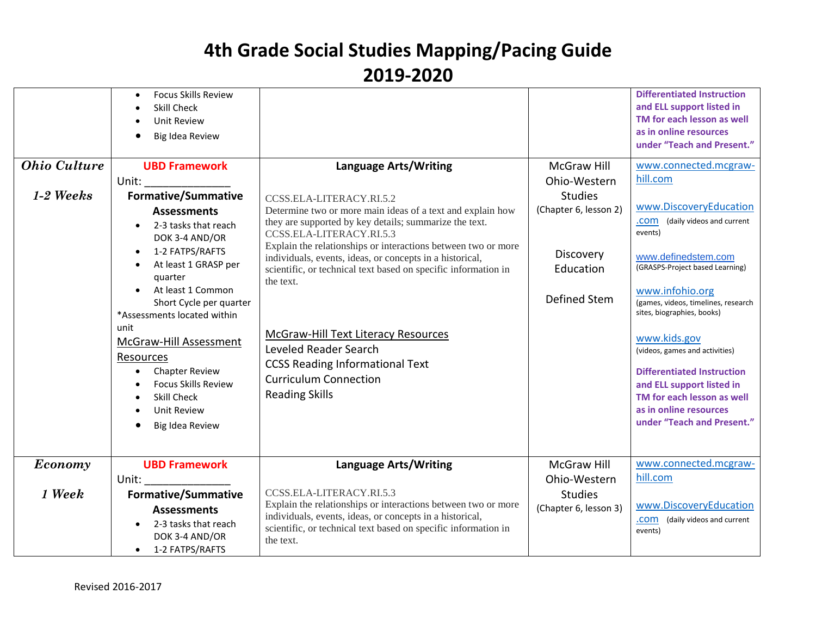| <b>Ohio Culture</b><br>$1-2$ Weeks | <b>Focus Skills Review</b><br>$\bullet$<br>Skill Check<br><b>Unit Review</b><br>Big Idea Review<br><b>UBD Framework</b><br>Unit:<br><b>Formative/Summative</b><br><b>Assessments</b><br>2-3 tasks that reach<br>DOK 3-4 AND/OR<br>1-2 FATPS/RAFTS<br>$\bullet$<br>At least 1 GRASP per<br>quarter<br>At least 1 Common<br>Short Cycle per quarter<br>*Assessments located within<br>unit<br>McGraw-Hill Assessment<br>Resources<br><b>Chapter Review</b><br>$\bullet$<br><b>Focus Skills Review</b><br>Skill Check<br><b>Unit Review</b><br>Big Idea Review | <b>Language Arts/Writing</b><br>CCSS.ELA-LITERACY.RI.5.2<br>Determine two or more main ideas of a text and explain how<br>they are supported by key details; summarize the text.<br>CCSS.ELA-LITERACY.RI.5.3<br>Explain the relationships or interactions between two or more<br>individuals, events, ideas, or concepts in a historical,<br>scientific, or technical text based on specific information in<br>the text.<br><b>McGraw-Hill Text Literacy Resources</b><br>Leveled Reader Search<br><b>CCSS Reading Informational Text</b><br><b>Curriculum Connection</b><br><b>Reading Skills</b> | <b>McGraw Hill</b><br>Ohio-Western<br><b>Studies</b><br>(Chapter 6, lesson 2)<br>Discovery<br>Education<br>Defined Stem | <b>Differentiated Instruction</b><br>and ELL support listed in<br>TM for each lesson as well<br>as in online resources<br>under "Teach and Present."<br>www.connected.mcgraw-<br>hill.com<br>www.DiscoveryEducation<br>.COM (daily videos and current<br>events)<br>www.definedstem.com<br>(GRASPS-Project based Learning)<br>www.infohio.org<br>(games, videos, timelines, research<br>sites, biographies, books)<br>www.kids.gov<br>(videos, games and activities)<br><b>Differentiated Instruction</b><br>and ELL support listed in<br>TM for each lesson as well<br>as in online resources<br>under "Teach and Present." |
|------------------------------------|-------------------------------------------------------------------------------------------------------------------------------------------------------------------------------------------------------------------------------------------------------------------------------------------------------------------------------------------------------------------------------------------------------------------------------------------------------------------------------------------------------------------------------------------------------------|----------------------------------------------------------------------------------------------------------------------------------------------------------------------------------------------------------------------------------------------------------------------------------------------------------------------------------------------------------------------------------------------------------------------------------------------------------------------------------------------------------------------------------------------------------------------------------------------------|-------------------------------------------------------------------------------------------------------------------------|------------------------------------------------------------------------------------------------------------------------------------------------------------------------------------------------------------------------------------------------------------------------------------------------------------------------------------------------------------------------------------------------------------------------------------------------------------------------------------------------------------------------------------------------------------------------------------------------------------------------------|
| Economy                            | <b>UBD Framework</b><br>Unit:                                                                                                                                                                                                                                                                                                                                                                                                                                                                                                                               | <b>Language Arts/Writing</b>                                                                                                                                                                                                                                                                                                                                                                                                                                                                                                                                                                       | McGraw Hill<br>Ohio-Western                                                                                             | www.connected.mcgraw-<br>hill.com                                                                                                                                                                                                                                                                                                                                                                                                                                                                                                                                                                                            |
| 1 Week                             | <b>Formative/Summative</b><br><b>Assessments</b>                                                                                                                                                                                                                                                                                                                                                                                                                                                                                                            | CCSS.ELA-LITERACY.RI.5.3<br>Explain the relationships or interactions between two or more                                                                                                                                                                                                                                                                                                                                                                                                                                                                                                          | <b>Studies</b><br>(Chapter 6, lesson 3)                                                                                 | www.DiscoveryEducation                                                                                                                                                                                                                                                                                                                                                                                                                                                                                                                                                                                                       |
|                                    | 2-3 tasks that reach<br>DOK 3-4 AND/OR<br>1-2 FATPS/RAFTS<br>$\bullet$                                                                                                                                                                                                                                                                                                                                                                                                                                                                                      | individuals, events, ideas, or concepts in a historical,<br>scientific, or technical text based on specific information in<br>the text.                                                                                                                                                                                                                                                                                                                                                                                                                                                            |                                                                                                                         | .COM (daily videos and current<br>events)                                                                                                                                                                                                                                                                                                                                                                                                                                                                                                                                                                                    |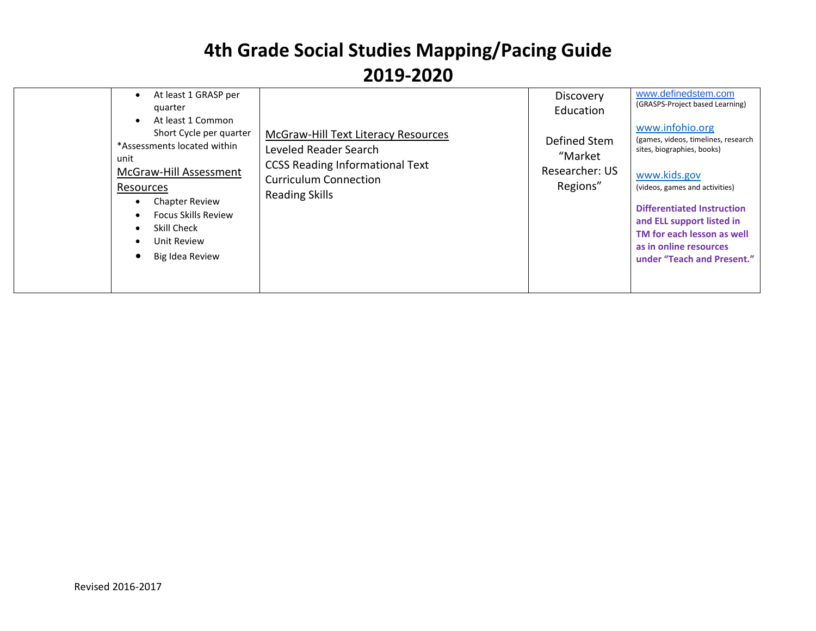| At least 1 GRASP per<br>$\bullet$<br>quarter<br>At least 1 Common<br>$\bullet$<br>Short Cycle per quarter<br>*Assessments located within<br>unit<br>McGraw-Hill Assessment<br>Resources<br><b>Chapter Review</b><br>$\bullet$<br><b>Focus Skills Review</b><br>$\bullet$<br>Skill Check<br>$\bullet$<br>Unit Review<br>$\bullet$<br>Big Idea Review | McGraw-Hill Text Literacy Resources<br>Leveled Reader Search<br><b>CCSS Reading Informational Text</b><br><b>Curriculum Connection</b><br><b>Reading Skills</b> | Discovery<br>Education<br>Defined Stem<br>"Market<br>Researcher: US<br>Regions" | www.definedstem.com<br>(GRASPS-Project based Learning)<br>www.infohio.org<br>(games, videos, timelines, research<br>sites, biographies, books)<br>www.kids.gov<br>(videos, games and activities)<br><b>Differentiated Instruction</b><br>and ELL support listed in<br>TM for each lesson as well<br>as in online resources<br>under "Teach and Present." |
|-----------------------------------------------------------------------------------------------------------------------------------------------------------------------------------------------------------------------------------------------------------------------------------------------------------------------------------------------------|-----------------------------------------------------------------------------------------------------------------------------------------------------------------|---------------------------------------------------------------------------------|----------------------------------------------------------------------------------------------------------------------------------------------------------------------------------------------------------------------------------------------------------------------------------------------------------------------------------------------------------|
|-----------------------------------------------------------------------------------------------------------------------------------------------------------------------------------------------------------------------------------------------------------------------------------------------------------------------------------------------------|-----------------------------------------------------------------------------------------------------------------------------------------------------------------|---------------------------------------------------------------------------------|----------------------------------------------------------------------------------------------------------------------------------------------------------------------------------------------------------------------------------------------------------------------------------------------------------------------------------------------------------|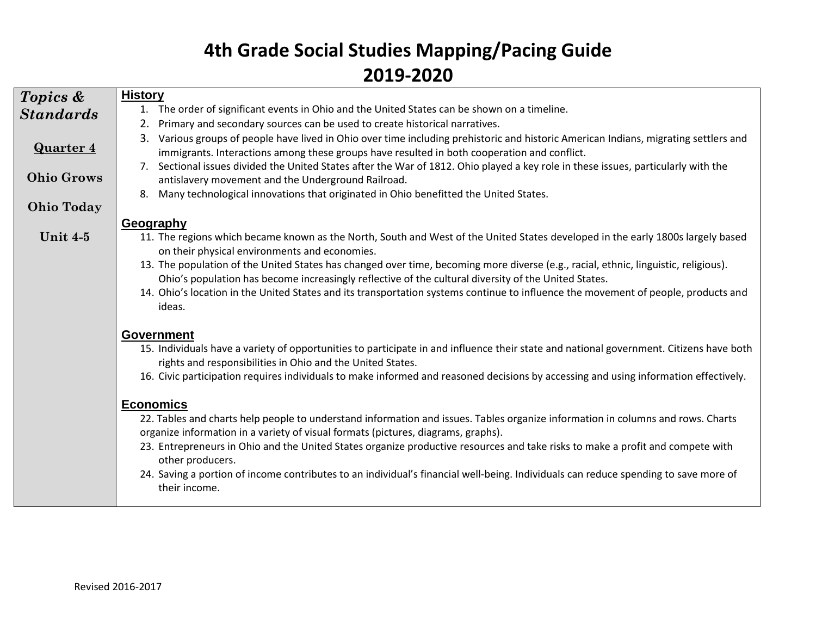| Topics &          | <b>History</b>                                                                                                                                                                                                                                                                                                                                                               |
|-------------------|------------------------------------------------------------------------------------------------------------------------------------------------------------------------------------------------------------------------------------------------------------------------------------------------------------------------------------------------------------------------------|
|                   | 1. The order of significant events in Ohio and the United States can be shown on a timeline.                                                                                                                                                                                                                                                                                 |
| <b>Standards</b>  | Primary and secondary sources can be used to create historical narratives.<br>2.                                                                                                                                                                                                                                                                                             |
| <b>Quarter 4</b>  | Various groups of people have lived in Ohio over time including prehistoric and historic American Indians, migrating settlers and<br>3.<br>immigrants. Interactions among these groups have resulted in both cooperation and conflict.<br>7. Sectional issues divided the United States after the War of 1812. Ohio played a key role in these issues, particularly with the |
| <b>Ohio Grows</b> | antislavery movement and the Underground Railroad.                                                                                                                                                                                                                                                                                                                           |
|                   | Many technological innovations that originated in Ohio benefitted the United States.<br>8.                                                                                                                                                                                                                                                                                   |
| <b>Ohio Today</b> |                                                                                                                                                                                                                                                                                                                                                                              |
|                   | Geography                                                                                                                                                                                                                                                                                                                                                                    |
| Unit 4-5          | 11. The regions which became known as the North, South and West of the United States developed in the early 1800s largely based<br>on their physical environments and economies.                                                                                                                                                                                             |
|                   | 13. The population of the United States has changed over time, becoming more diverse (e.g., racial, ethnic, linguistic, religious).<br>Ohio's population has become increasingly reflective of the cultural diversity of the United States.                                                                                                                                  |
|                   | 14. Ohio's location in the United States and its transportation systems continue to influence the movement of people, products and<br>ideas.                                                                                                                                                                                                                                 |
|                   | Government                                                                                                                                                                                                                                                                                                                                                                   |
|                   | 15. Individuals have a variety of opportunities to participate in and influence their state and national government. Citizens have both<br>rights and responsibilities in Ohio and the United States.                                                                                                                                                                        |
|                   | 16. Civic participation requires individuals to make informed and reasoned decisions by accessing and using information effectively.                                                                                                                                                                                                                                         |
|                   | <b>Economics</b>                                                                                                                                                                                                                                                                                                                                                             |
|                   | 22. Tables and charts help people to understand information and issues. Tables organize information in columns and rows. Charts<br>organize information in a variety of visual formats (pictures, diagrams, graphs).                                                                                                                                                         |
|                   | 23. Entrepreneurs in Ohio and the United States organize productive resources and take risks to make a profit and compete with<br>other producers.                                                                                                                                                                                                                           |
|                   | 24. Saving a portion of income contributes to an individual's financial well-being. Individuals can reduce spending to save more of<br>their income.                                                                                                                                                                                                                         |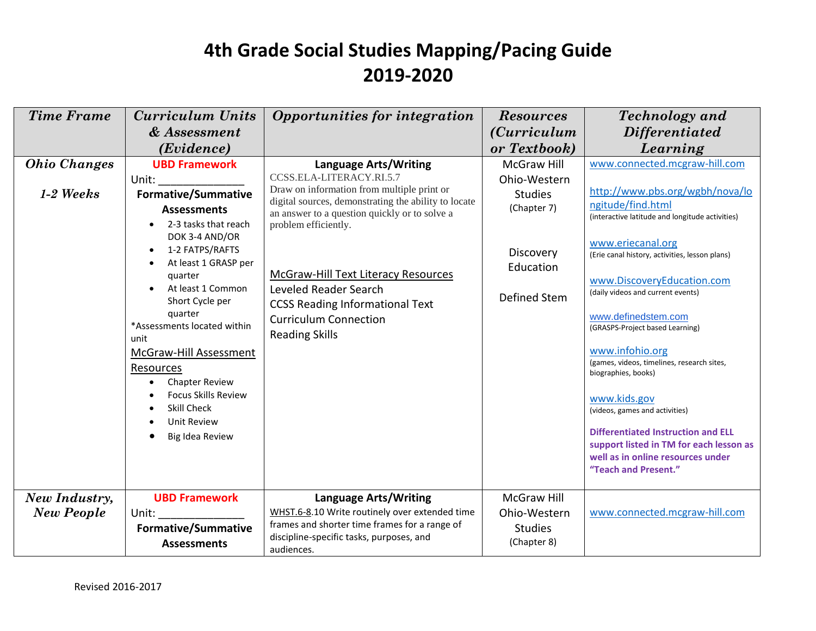| <b>Time Frame</b>   | <b>Curriculum Units</b>                                                                                                                                                                                                                                                                                                                                                                                                 | Opportunities for integration                                                                                                                                                                                                                                                                                                                                              | <b>Resources</b>                                                                        | <b>Technology</b> and                                                                                                                                                                                                                                                                                                                                                                                                                                                                                                                                                                                      |
|---------------------|-------------------------------------------------------------------------------------------------------------------------------------------------------------------------------------------------------------------------------------------------------------------------------------------------------------------------------------------------------------------------------------------------------------------------|----------------------------------------------------------------------------------------------------------------------------------------------------------------------------------------------------------------------------------------------------------------------------------------------------------------------------------------------------------------------------|-----------------------------------------------------------------------------------------|------------------------------------------------------------------------------------------------------------------------------------------------------------------------------------------------------------------------------------------------------------------------------------------------------------------------------------------------------------------------------------------------------------------------------------------------------------------------------------------------------------------------------------------------------------------------------------------------------------|
|                     | & Assessment                                                                                                                                                                                                                                                                                                                                                                                                            |                                                                                                                                                                                                                                                                                                                                                                            | <i>(Curriculum</i> )                                                                    | <i>Differentiated</i>                                                                                                                                                                                                                                                                                                                                                                                                                                                                                                                                                                                      |
|                     | (Evidence)                                                                                                                                                                                                                                                                                                                                                                                                              |                                                                                                                                                                                                                                                                                                                                                                            | or Textbook)                                                                            | Learning                                                                                                                                                                                                                                                                                                                                                                                                                                                                                                                                                                                                   |
| <b>Ohio Changes</b> | <b>UBD Framework</b>                                                                                                                                                                                                                                                                                                                                                                                                    | <b>Language Arts/Writing</b>                                                                                                                                                                                                                                                                                                                                               | McGraw Hill                                                                             | www.connected.mcgraw-hill.com                                                                                                                                                                                                                                                                                                                                                                                                                                                                                                                                                                              |
| $1-2$ Weeks         | Unit:<br><b>Formative/Summative</b><br><b>Assessments</b><br>2-3 tasks that reach<br>DOK 3-4 AND/OR<br>1-2 FATPS/RAFTS<br>At least 1 GRASP per<br>quarter<br>At least 1 Common<br>Short Cycle per<br>quarter<br>*Assessments located within<br>unit<br>McGraw-Hill Assessment<br><b>Resources</b><br><b>Chapter Review</b><br><b>Focus Skills Review</b><br><b>Skill Check</b><br><b>Unit Review</b><br>Big Idea Review | CCSS.ELA-LITERACY.RI.5.7<br>Draw on information from multiple print or<br>digital sources, demonstrating the ability to locate<br>an answer to a question quickly or to solve a<br>problem efficiently.<br>McGraw-Hill Text Literacy Resources<br>Leveled Reader Search<br><b>CCSS Reading Informational Text</b><br><b>Curriculum Connection</b><br><b>Reading Skills</b> | Ohio-Western<br><b>Studies</b><br>(Chapter 7)<br>Discovery<br>Education<br>Defined Stem | http://www.pbs.org/wgbh/nova/lo<br>ngitude/find.html<br>(interactive latitude and longitude activities)<br>www.eriecanal.org<br>(Erie canal history, activities, lesson plans)<br>www.DiscoveryEducation.com<br>(daily videos and current events)<br>www.definedstem.com<br>(GRASPS-Project based Learning)<br>www.infohio.org<br>(games, videos, timelines, research sites,<br>biographies, books)<br>www.kids.gov<br>(videos, games and activities)<br><b>Differentiated Instruction and ELL</b><br>support listed in TM for each lesson as<br>well as in online resources under<br>"Teach and Present." |
| New Industry,       | <b>UBD Framework</b>                                                                                                                                                                                                                                                                                                                                                                                                    | <b>Language Arts/Writing</b>                                                                                                                                                                                                                                                                                                                                               | McGraw Hill                                                                             |                                                                                                                                                                                                                                                                                                                                                                                                                                                                                                                                                                                                            |
| <b>New People</b>   | Unit: the contract of the contract of the contract of the contract of the contract of the contract of the contract of the contract of the contract of the contract of the contract of the contract of the contract of the cont                                                                                                                                                                                          | WHST.6-8.10 Write routinely over extended time                                                                                                                                                                                                                                                                                                                             | Ohio-Western                                                                            | www.connected.mcgraw-hill.com                                                                                                                                                                                                                                                                                                                                                                                                                                                                                                                                                                              |
|                     | <b>Formative/Summative</b><br><b>Assessments</b>                                                                                                                                                                                                                                                                                                                                                                        | frames and shorter time frames for a range of<br>discipline-specific tasks, purposes, and<br>audiences.                                                                                                                                                                                                                                                                    | <b>Studies</b><br>(Chapter 8)                                                           |                                                                                                                                                                                                                                                                                                                                                                                                                                                                                                                                                                                                            |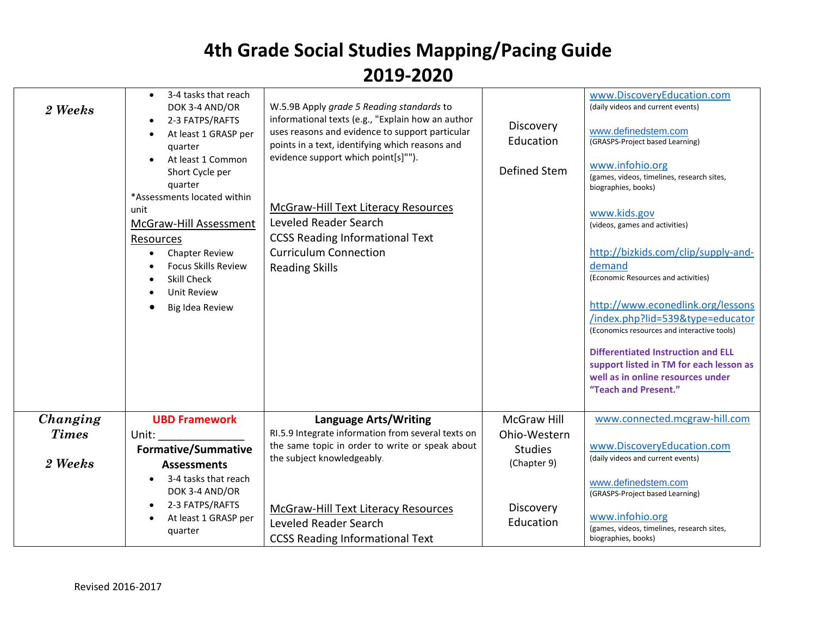| 2 Weeks                             | 3-4 tasks that reach<br>DOK 3-4 AND/OR<br>2-3 FATPS/RAFTS<br>At least 1 GRASP per<br>quarter<br>At least 1 Common<br>Short Cycle per<br>quarter<br>*Assessments located within<br>unit<br>McGraw-Hill Assessment<br>Resources<br><b>Chapter Review</b><br><b>Focus Skills Review</b><br><b>Skill Check</b><br><b>Unit Review</b><br>Big Idea Review | W.5.9B Apply grade 5 Reading standards to<br>informational texts (e.g., "Explain how an author<br>uses reasons and evidence to support particular<br>points in a text, identifying which reasons and<br>evidence support which point[s]"").<br><b>McGraw-Hill Text Literacy Resources</b><br>Leveled Reader Search<br><b>CCSS Reading Informational Text</b><br><b>Curriculum Connection</b><br><b>Reading Skills</b> | Discovery<br>Education<br>Defined Stem                       | www.DiscoveryEducation.com<br>(daily videos and current events)<br>www.definedstem.com<br>(GRASPS-Project based Learning)<br>www.infohio.org<br>(games, videos, timelines, research sites,<br>biographies, books)<br>www.kids.gov<br>(videos, games and activities)<br>http://bizkids.com/clip/supply-and-<br>demand<br>(Economic Resources and activities)<br>http://www.econedlink.org/lessons<br>/index.php?lid=539&type=educator<br>(Economics resources and interactive tools)<br><b>Differentiated Instruction and ELL</b><br>support listed in TM for each lesson as<br>well as in online resources under<br>"Teach and Present." |
|-------------------------------------|-----------------------------------------------------------------------------------------------------------------------------------------------------------------------------------------------------------------------------------------------------------------------------------------------------------------------------------------------------|-----------------------------------------------------------------------------------------------------------------------------------------------------------------------------------------------------------------------------------------------------------------------------------------------------------------------------------------------------------------------------------------------------------------------|--------------------------------------------------------------|------------------------------------------------------------------------------------------------------------------------------------------------------------------------------------------------------------------------------------------------------------------------------------------------------------------------------------------------------------------------------------------------------------------------------------------------------------------------------------------------------------------------------------------------------------------------------------------------------------------------------------------|
| Changing<br><b>Times</b><br>2 Weeks | <b>UBD Framework</b><br>Unit:<br><b>Formative/Summative</b><br><b>Assessments</b><br>3-4 tasks that reach<br>DOK 3-4 AND/OR                                                                                                                                                                                                                         | Language Arts/Writing<br>RI.5.9 Integrate information from several texts on<br>the same topic in order to write or speak about<br>the subject knowledgeably.                                                                                                                                                                                                                                                          | McGraw Hill<br>Ohio-Western<br><b>Studies</b><br>(Chapter 9) | www.connected.mcgraw-hill.com<br>www.DiscoveryEducation.com<br>(daily videos and current events)<br>www.definedstem.com                                                                                                                                                                                                                                                                                                                                                                                                                                                                                                                  |
|                                     | 2-3 FATPS/RAFTS<br>At least 1 GRASP per<br>quarter                                                                                                                                                                                                                                                                                                  | McGraw-Hill Text Literacy Resources<br>Leveled Reader Search<br><b>CCSS Reading Informational Text</b>                                                                                                                                                                                                                                                                                                                | Discovery<br>Education                                       | (GRASPS-Project based Learning)<br>www.infohio.org<br>(games, videos, timelines, research sites,<br>biographies, books)                                                                                                                                                                                                                                                                                                                                                                                                                                                                                                                  |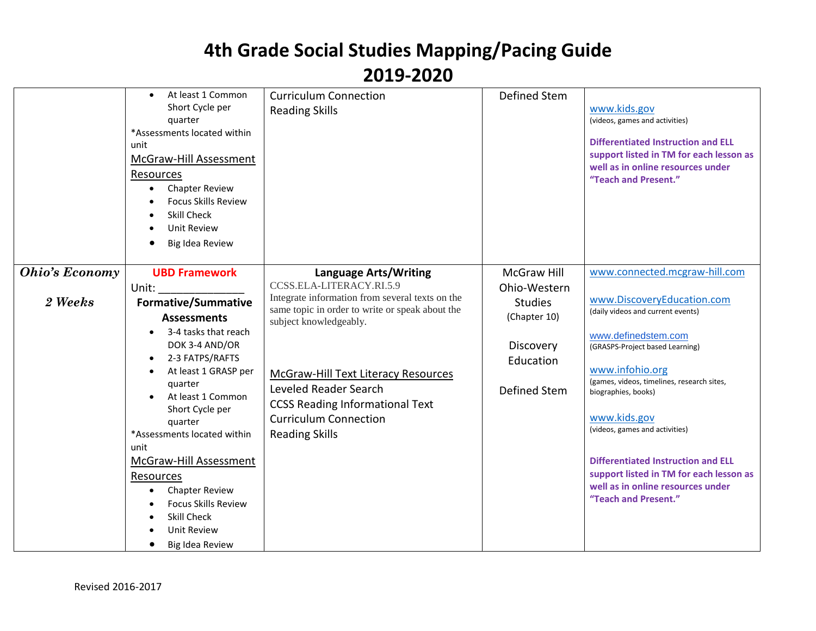|                                  | At least 1 Common<br>Short Cycle per<br>quarter<br>*Assessments located within<br>unit<br>McGraw-Hill Assessment<br>Resources<br><b>Chapter Review</b><br><b>Focus Skills Review</b><br><b>Skill Check</b><br><b>Unit Review</b><br>Big Idea Review                                                                                                                                                                               | <b>Curriculum Connection</b><br><b>Reading Skills</b>                                                                                                                                                                                                                                                                                                | <b>Defined Stem</b>                                                                                     | www.kids.gov<br>(videos, games and activities)<br><b>Differentiated Instruction and ELL</b><br>support listed in TM for each lesson as<br>well as in online resources under<br>"Teach and Present."                                                                                                                                                                                                                                                       |
|----------------------------------|-----------------------------------------------------------------------------------------------------------------------------------------------------------------------------------------------------------------------------------------------------------------------------------------------------------------------------------------------------------------------------------------------------------------------------------|------------------------------------------------------------------------------------------------------------------------------------------------------------------------------------------------------------------------------------------------------------------------------------------------------------------------------------------------------|---------------------------------------------------------------------------------------------------------|-----------------------------------------------------------------------------------------------------------------------------------------------------------------------------------------------------------------------------------------------------------------------------------------------------------------------------------------------------------------------------------------------------------------------------------------------------------|
| <b>Ohio's Economy</b><br>2 Weeks | <b>UBD Framework</b><br>Unit:<br><b>Formative/Summative</b><br><b>Assessments</b><br>3-4 tasks that reach<br>DOK 3-4 AND/OR<br>2-3 FATPS/RAFTS<br>At least 1 GRASP per<br>quarter<br>At least 1 Common<br>Short Cycle per<br>quarter<br>*Assessments located within<br>unit<br>McGraw-Hill Assessment<br>Resources<br><b>Chapter Review</b><br><b>Focus Skills Review</b><br><b>Skill Check</b><br>Unit Review<br>Big Idea Review | Language Arts/Writing<br>CCSS.ELA-LITERACY.RI.5.9<br>Integrate information from several texts on the<br>same topic in order to write or speak about the<br>subject knowledgeably.<br>McGraw-Hill Text Literacy Resources<br>Leveled Reader Search<br><b>CCSS Reading Informational Text</b><br><b>Curriculum Connection</b><br><b>Reading Skills</b> | McGraw Hill<br>Ohio-Western<br><b>Studies</b><br>(Chapter 10)<br>Discovery<br>Education<br>Defined Stem | www.connected.mcgraw-hill.com<br>www.DiscoveryEducation.com<br>(daily videos and current events)<br>www.definedstem.com<br>(GRASPS-Project based Learning)<br>www.infohio.org<br>(games, videos, timelines, research sites,<br>biographies, books)<br>www.kids.gov<br>(videos, games and activities)<br><b>Differentiated Instruction and ELL</b><br>support listed in TM for each lesson as<br>well as in online resources under<br>"Teach and Present." |